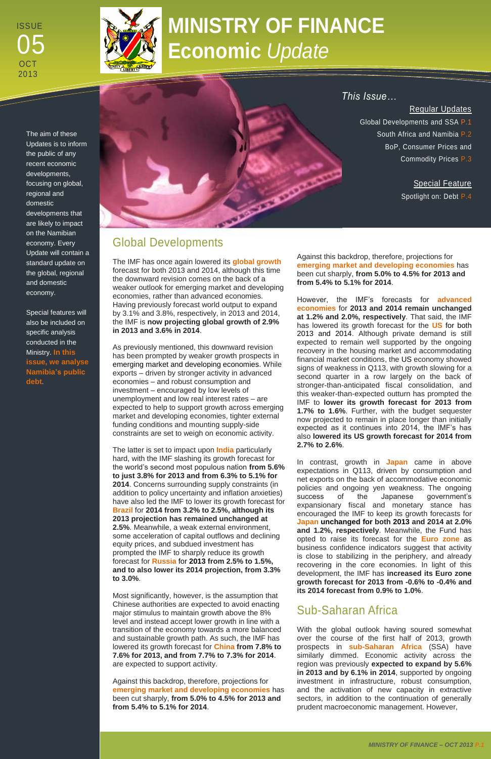# **MINISTRY OF FINANCE Economic** *Update*

The aim of these Updates is to inform the public of any recent economic developments, focusing on global, regional and domestic developments that are likely to impact on the Namibian economy. Every Update will contain a standard update on the global, regional and domestic economy.

Special features will also be included on specific analysis conducted in the Ministry. **In this issue, we analyse Namibia's public debt**.



# Global Developments

The IMF has once again lowered its **global growth** forecast for both 2013 and 2014, although this time the downward revision comes on the back of a weaker outlook for emerging market and developing economies, rather than advanced economies. Having previously forecast world output to expand by 3.1% and 3.8%, respectively, in 2013 and 2014, the IMF is **now projecting global growth of 2.9% in 2013 and 3.6% in 2014**.

As previously mentioned, this downward revision has been prompted by weaker growth prospects in emerging market and developing economies. While exports – driven by stronger activity in advanced economies – and robust consumption and investment – encouraged by low levels of unemployment and low real interest rates – are expected to help to support growth across emerging market and developing economies, tighter external funding conditions and mounting supply-side constraints are set to weigh on economic activity.

**Special Feature** Spotlight on: Debt P.4

The latter is set to impact upon **India** particularly hard, with the IMF slashing its growth forecast for the world's second most populous nation **from 5.6% to just 3.8% for 2013 and from 6.3% to 5.1% for 2014**. Concerns surrounding supply constraints (in addition to policy uncertainty and inflation anxieties) have also led the IMF to lower its growth forecast for **Brazil** for **2014 from 3.2% to 2.5%, although its 2013 projection has remained unchanged at 2.5%**. Meanwhile, a weak external environment, some acceleration of capital outflows and declining equity prices, and subdued investment has prompted the IMF to sharply reduce its growth forecast for **Russia** for **2013 from 2.5% to 1.5%, and to also lower its 2014 projection, from 3.3% to 3.0%**.

Most significantly, however, is the assumption that Chinese authorities are expected to avoid enacting major stimulus to maintain growth above the 8% level and instead accept lower growth in line with a transition of the economy towards a more balanced and sustainable growth path. As such, the IMF has lowered its growth forecast for **China from 7.8% to 7.6% for 2013, and from 7.7% to 7.3% for 2014**. are expected to support activity.

Against this backdrop, therefore, projections for **emerging market and developing economies** has been cut sharply, **from 5.0% to 4.5% for 2013 and from 5.4% to 5.1% for 2014**.

*This Issue…*

### Regular Updates

Global Developments and SSA P.1 South Africa and Namibia P.2 BoP, Consumer Prices and Commodity Prices P.3

ISSUE **OCT** 2013 05 05



Against this backdrop, therefore, projections for **emerging market and developing economies** has been cut sharply, **from 5.0% to 4.5% for 2013 and from 5.4% to 5.1% for 2014**.

However, the IMF's forecasts for **advanced economies** for **2013 and 2014 remain unchanged at 1.2% and 2.0%, respectively**. That said, the IMF has lowered its growth forecast for the **US** for both 2013 and 2014. Although private demand is still expected to remain well supported by the ongoing recovery in the housing market and accommodating financial market conditions, the US economy showed signs of weakness in Q113, with growth slowing for a second quarter in a row largely on the back of stronger-than-anticipated fiscal consolidation, and this weaker-than-expected outturn has prompted the IMF to **lower its growth forecast for 2013 from 1.7% to 1.6%**. Further, with the budget sequester now projected to remain in place longer than initially expected as it continues into 2014, the IMF's has also **lowered its US growth forecast for 2014 from 2.7% to 2.6%**.

In contrast, growth in **Japan** came in above expectations in Q113, driven by consumption and net exports on the back of accommodative economic policies and ongoing yen weakness. The ongoing success of the Japanese government's expansionary fiscal and monetary stance has encouraged the IMF to keep its growth forecasts for **Japan unchanged for both 2013 and 2014 at 2.0% and 1.2%, respectively**. Meanwhile, the Fund has opted to raise its forecast for the **Euro zone** as business confidence indicators suggest that activity is close to stabilizing in the periphery, and already recovering in the core economies. In light of this development, the IMF has **increased its Euro zone growth forecast for 2013 from -0.6% to -0.4% and its 2014 forecast from 0.9% to 1.0%**.

# Sub-Saharan Africa

With the global outlook having soured somewhat over the course of the first half of 2013, growth prospects in **sub-Saharan Africa** (SSA) have similarly dimmed. Economic activity across the region was previously **expected to expand by 5.6% in 2013 and by 6.1% in 2014**, supported by ongoing investment in infrastructure, robust consumption, and the activation of new capacity in extractive sectors, in addition to the continuation of generally prudent macroeconomic management. However,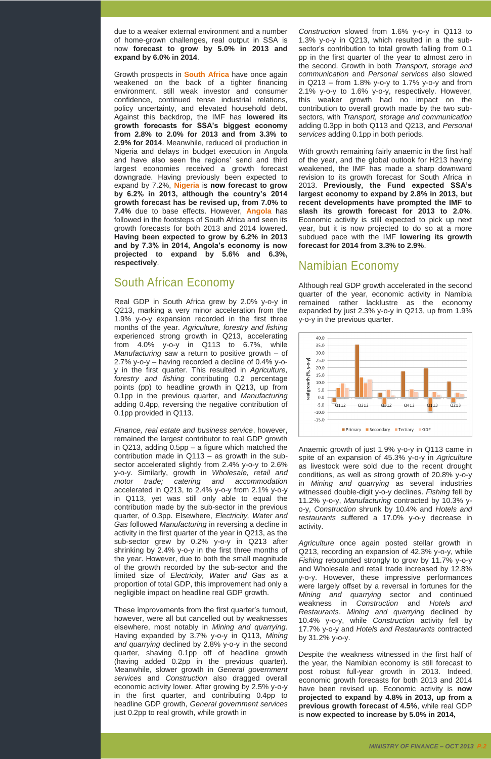due to a weaker external environment and a number of home -grown challenges, real output in SSA is now **forecast to grow by 5.0% in 2013 and expand by 6.0% in 2014** .

Growth prospects in **South Africa** have once again weakened on the back of a tighter financing environment, still weak investor and consumer confidence, continued tense industrial relations, policy uncertainty, and elevated household debt. Against this backdrop, the IMF has **lowered its growth forecasts for SSA's biggest economy from 2.8% to 2.0% for 2013 and from 3.3% to 2.9% for 2014**. Meanwhile, reduced oil production in Nigeria and delays in budget execution in Angola and have also seen the regions' send and third largest economies received a growth forecast downgrade. Having previously been expected to expand by 7.2%, **Nigeria** is **now forecast to grow by 6.2% in 2013, although the country's 2014 growth forecast has be revised up, from 7.0% to 7.4%** due to base effects. However, **Angola** has followed in the footsteps of South Africa and seen its growth forecasts for both 2013 and 2014 lowered. **Having been expected to grow by 6.2% in 2013 and by 7.3% in 2014, Angola's economy is now projected to expand by 5.6% and 6.3%, respectively** .

Real GDP in South Africa grew by 2.0% y-o-y in Q213, marking a very minor acceleration from the 1.9% y - o -y expansion recorded in the first three months of the year. *Agriculture, forestry and fishing* experienced strong growth in Q213, accelerating from  $4.0\%$  y-o-y in Q113 to 6.7%, while *Manufacturing* saw a return to positive growth – of 2.7% y-o-y – having recorded a decline of 0.4% y-oy in the first quarter. This resulted in *Agriculture, forestry and fishing* contributing 0.2 percentage points (pp) to headline growth in Q213, up from 0.1pp in the previous quarter, and *Manufacturing* adding 0.4pp, reversing the negative contribution of 0.1pp provided in Q113.

### South African Economy

Construction slowed from 1.6% y-o-y in Q113 to 1.3% y - o -y in Q213, which resulted in a the sub sector's contribution to total growth falling from 0.1 pp in the first quarter of the year to almost zero in the second. Growth in both *Transport, storage and communication* and *Personal services* also slowed in  $Q213 - from 1.8%$  y-o-y to 1.7% y-o-y and from 2.1% y - o -y to 1.6% y - o -y, respectively. However, this weaker growth had no impact on the contribution to overall growth made by the two sub sectors, with *Transport, storage and communication* adding 0.3pp in both Q113 and Q213, and *Personal services* adding 0.1pp in both periods.

*Finance, real estate and business service*, however, remained the largest contributor to real GDP growth in Q213, adding 0.5pp – a figure which matched the contribution made in Q113 – as growth in the sub sector accelerated slightly from 2.4% y-o-y to 2.6% y - o -y. Similarly, growth in *Wholesale, retail and motor trade; catering and accommodation* accelerated in Q213, to 2.4% y-o-y from 2.1% y-o-y in Q113, yet was still only able to equal the contribution made by the sub -sector in the previous quarter, of 0.3pp. Elsewhere, *Electricity, Water and Gas* followed *Manufacturing* in reversing a decline in activity in the first quarter of the year in Q213, as the sub-sector grew by 0.2% y-o-y in Q213 after shrinking by 2.4% y-o-y in the first three months of the year. However, due to both the small magnitude of the growth recorded by the sub -sector and the limited size of *Electricity, Water and Gas* as a proportion of total GDP, this improvement had only a negligible impact on headline real GDP growth.

Anaemic growth of just 1.9% y-o-y in Q113 came in spite of an expansion of 45.3% y-o-y in Agriculture as livestock were sold due to the recent drought conditions, as well as strong growth of 20.8% y-o-y in *Mining and quarrying* as several industries witnessed double -digit y - o -y declines. *Fishing* fell by 11.2% y-o-y, Manufacturing contracted by 10.3% yo -y, *Construction* shrunk by 10.4% and *Hotels and*  restaurants suffered a 17.0% y-o-y decrease in activity.

These improvements from the first quarter's turnout, however, were all but cancelled out by weaknesses elsewhere, most notably in *Mining and quarrying*. Having expanded by 3.7% y-o-y in Q113, Mining and quarrying declined by 2.8% y-o-y in the second quarter, shaving 0.1pp off of headline growth (having added 0.2pp in the previous quarter). Meanwhile, slower growth in *General government services* and *Construction* also dragged overall economic activity lower. After growing by 2.5% y-o-y in the first quarter, and contributing 0.4pp to headline GDP growth, *General government services* just 0.2pp to real growth, while growth in

With growth remaining fairly anaemic in the first half of the year, and the global outlook for H213 having weakened, the IMF has made a sharp downward revision to its growth forecast for South Africa in 2013. **Previously, the Fund expected SSA's largest economy to expand by 2.8% in 2013, but recent developments have prompted the IMF to slash its growth forecast for 2013 to 2.0%**. Economic activity is still expected to pick up next year, but it is now projected to do so at a more subdued pace with the IMF **lowering its growth forecast for 2014 from 3.3% to 2.9%** .

## Namibian Economy

Although real GDP growth accelerated in the second quarter of the year, economic activity in Namibia remained rather lacklustre as the economy expanded by just 2.3% y-o-y in Q213, up from 1.9% y - o -y in the previous quarter.



*Agriculture* once again posted stellar growth in Q213, recording an expansion of 42.3% y-o-y, while Fishing rebounded strongly to grow by 11.7% y-o-y and Wholesale and retail trade increased by 12.8% y-o-y. However, these impressive performances were largely offset by a reversal in fortunes for the *Mining and quarrying* sector and continued weakness in *Construction* and *Hotels and Restaurants*. *Mining and quarrying* declined by 10.4% y - o -y, while *Construction* activity fell by 17.7% y - o -y and *Hotels and Restaurants* contracted by 31.2% y - o -y.

Despite the weakness witnessed in the first half of the year, the Namibian economy is still forecast to post robust full -year growth in 2013. Indeed, economic growth forecasts for both 2013 and 2014 have been revised up. Economic activity is **now projected to expand by 4.8% in 2013, up from a previous growth forecast of 4.5%**, while real GDP is **now expected to increase by 5.0% in 2014,**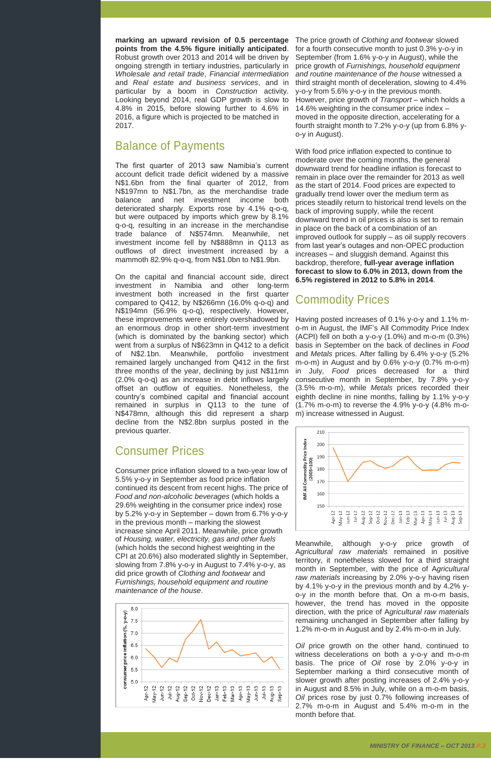**marking an upward revision of 0.5 percentage points from the 4.5% figure initially anticipated**. Robust growth over 2013 and 2014 will be driven by ongoing strength in tertiary industries, particularly in *Wholesale and retail trade*, *Financial intermediation* and *Real estate and business services*, and in particular by a boom in *Construction* activity. Looking beyond 2014, real GDP growth is slow to 4.8% in 2015, before slowing further to 4.6% in 2016, a figure which is projected to be matched in 2017.

# Balance of Payments

The first quarter of 2013 saw Namibia's current account deficit trade deficit widened by a massive N\$1.6bn from the final quarter of 2012, from N\$197mn to N\$1.7bn, as the merchandise trade balance and net investment income both deteriorated sharply. Exports rose by 4.1% q-o-q, but were outpaced by imports which grew by 8.1% q-o-q, resulting in an increase in the merchandise trade balance of N\$574mn. Meanwhile, net investment income fell by N\$888mn in Q113 as outflows of direct investment increased by a mammoth 82.9% q-o-q, from N\$1.0bn to N\$1.9bn.

On the capital and financial account side, direct investment in Namibia and other long-term investment both increased in the first quarter compared to Q412, by N\$266mn (16.0% q-o-q) and N\$194mn (56.9% q-o-q), respectively. However, these improvements were entirely overshadowed by an enormous drop in other short-term investment (which is dominated by the banking sector) which went from a surplus of N\$623mn in Q412 to a deficit of N\$2.1bn. Meanwhile, portfolio investment remained largely unchanged from Q412 in the first three months of the year, declining by just N\$11mn (2.0% q-o-q) as an increase in debt inflows largely offset an outflow of equities. Nonetheless, the country's combined capital and financial account remained in surplus in Q113 to the tune of N\$478mn, although this did represent a sharp decline from the N\$2.8bn surplus posted in the previous quarter.

# Consumer Prices

Consumer price inflation slowed to a two-year low of 5.5% y-o-y in September as food price inflation continued its descent from recent highs. The price of *Food and non-alcoholic beverages* (which holds a 29.6% weighting in the consumer price index) rose by 5.2% y-o-y in September – down from 6.7% y-o-y in the previous month – marking the slowest increase since April 2011. Meanwhile, price growth of *Housing, water, electricity, gas and other fuels*  (which holds the second highest weighting in the CPI at 20.6%) also moderated slightly in September, slowing from 7.8% y-o-y in August to 7.4% y-o-y, as did price growth of *Clothing and footwear* and *Furnishings, household equipment and routine maintenance of the house*.

*MINISTRY OF FINANCE – OCT 2013 P.3*

The price growth of *Clothing and footwear* slowed for a fourth consecutive month to just 0.3% y-o-y in September (from 1.6% y-o-y in August), while the price growth of *Furnishings, household equipment and routine maintenance of the house* witnessed a third straight month of deceleration, slowing to 4.4% y-o-y from 5.6% y-o-y in the previous month. However, price growth of *Transport* – which holds a 14.6% weighting in the consumer price index – moved in the opposite direction, accelerating for a fourth straight month to 7.2% y-o-y (up from 6.8% yo-y in August).

With food price inflation expected to continue to moderate over the coming months, the general downward trend for headline inflation is forecast to remain in place over the remainder for 2013 as well as the start of 2014. Food prices are expected to gradually trend lower over the medium term as prices steadily return to historical trend levels on the back of improving supply, while the recent downward trend in oil prices is also is set to remain in place on the back of a combination of an improved outlook for supply – as oil supply recovers from last year's outages and non-OPEC production increases – and sluggish demand. Against this backdrop, therefore, **full-year average inflation forecast to slow to 6.0% in 2013, down from the 6.5% registered in 2012 to 5.8% in 2014**.

# Commodity Prices

Having posted increases of 0.1% y-o-y and 1.1% mo-m in August, the IMF's All Commodity Price Index (ACPI) fell on both a y-o-y (1.0%) and m-o-m (0.3%) basis in September on the back of declines in *Food* and *Metals* prices. After falling by 6.4% y-o-y (5.2% m-o-m) in August and by 0.6% y-o-y (0.7% m-o-m) in July, *Food* prices decreased for a third consecutive month in September, by 7.8% y-o-y (3.5% m-o-m), while *Metals* prices recorded their eighth decline in nine months, falling by 1.1% y-o-y (1.7% m-o-m) to reverse the 4.9% y-o-y (4.8% m-om) increase witnessed in August.



Meanwhile, although y-o-y price growth of A*gricultural raw materials* remained in positive



territory, it nonetheless slowed for a third straight month in September, with the price of A*gricultural raw materials* increasing by 2.0% y-o-y having risen by 4.1% y-o-y in the previous month and by 4.2% yo-y in the month before that. On a m-o-m basis, however, the trend has moved in the opposite direction, with the price of A*gricultural raw materials* remaining unchanged in September after falling by 1.2% m-o-m in August and by 2.4% m-o-m in July.

*Oil* price growth on the other hand, continued to witness decelerations on both a y-o-y and m-o-m basis. The price of *Oil* rose by 2.0% y-o-y in September marking a third consecutive month of slower growth after posting increases of 2.4% y-o-y in August and 8.5% in July, while on a m-o-m basis, *Oil* prices rose by just 0.7% following increases of 2.7% m-o-m in August and 5.4% m-o-m in the month before that.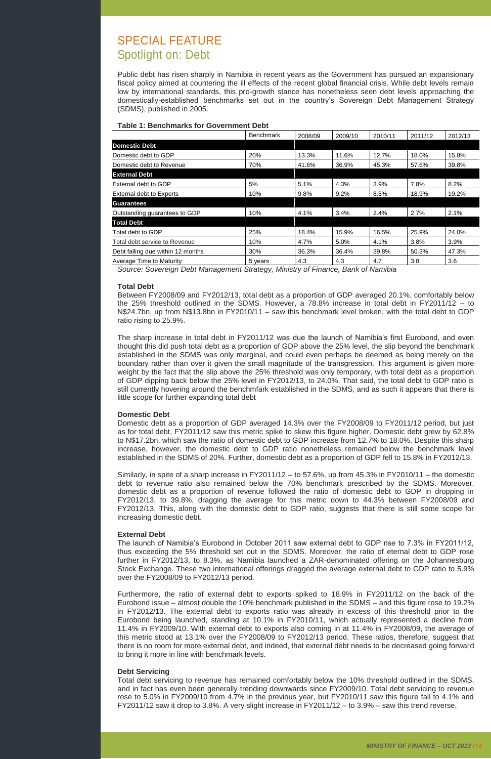# SPECIAL FEATURE Spotlight on: Debt

Public debt has risen sharply in Namibia in recent years as the Government has pursued an expansionary fiscal policy aimed at countering the ill effects of the recent global financial crisis. While debt levels remain low by international standards, this pro-growth stance has nonetheless seen debt levels approaching the domestically-established benchmarks set out in the country's Sovereign Debt Management Strategy (SDMS), published in 2005.

### **Table 1: Benchmarks for Government Debt**

|                                   | <b>Benchmark</b> | 2008/09 | 2009/10 | 2010/11 | 2011/12 | 2012/13 |
|-----------------------------------|------------------|---------|---------|---------|---------|---------|
| <b>Domestic Debt</b>              |                  |         |         |         |         |         |
| Domestic debt to GDP              | 20%              | 13.3%   | 11.6%   | 12.7%   | 18.0%   | 15.8%   |
| Domestic debt to Revenue          | 70%              | 41.6%   | 36.9%   | 45.3%   | 57.6%   | 39.8%   |
| <b>External Debt</b>              |                  |         |         |         |         |         |
| External debt to GDP              | 5%               | 5.1%    | 4.3%    | 3.9%    | 7.8%    | 8.2%    |
| <b>External debt to Exports</b>   | 10%              | 9.8%    | 9.2%    | 8.5%    | 18.9%   | 19.2%   |
| <b>Guarantees</b>                 |                  |         |         |         |         |         |
| Outstanding guarantees to GDP     | 10%              | 4.1%    | 3.4%    | 2.4%    | 2.7%    | 2.1%    |
| <b>Total Debt</b>                 |                  |         |         |         |         |         |
| Total debt to GDP                 | 25%              | 18.4%   | 15.9%   | 16.5%   | 25.9%   | 24.0%   |
| Total debt service to Revenue     | 10%              | 4.7%    | 5.0%    | 4.1%    | 3.8%    | 3.9%    |
| Debt falling due within 12 months | 30%              | 36.3%   | 36.4%   | 39.8%   | 50.3%   | 47.3%   |
| Average Time to Maturity          | 5 years          | 4.3     | 4.3     | 4.7     | 3.8     | 3.6     |

*Source: Sovereign Debt Management Strategy, Ministry of Finance, Bank of Namibia*

### **Total Debt**

Between FY2008/09 and FY2012/13, total debt as a proportion of GDP averaged 20.1%, comfortably below the 25% threshold outlined in the SDMS. However, a 78.8% increase in total debt in FY2011/12 – to N\$24.7bn, up from N\$13.8bn in FY2010/11 – saw this benchmark level broken, with the total debt to GDP ratio rising to 25.9%.

The sharp increase in total debt in FY2011/12 was due the launch of Namibia's first Eurobond, and even thought this did push total debt as a proportion of GDP above the 25% level, the slip beyond the benchmark established in the SDMS was only marginal, and could even perhaps be deemed as being merely on the boundary rather than over it given the small magnitude of the transgression. This argument is given more weight by the fact that the slip above the 25% threshold was only temporary, with total debt as a proportion of GDP dipping back below the 25% level in FY2012/13, to 24.0%. That said, the total debt to GDP ratio is still currently hovering around the benchmfark established in the SDMS, and as such it appears that there is little scope for further expanding total debt

### **Domestic Debt**

Domestic debt as a proportion of GDP averaged 14.3% over the FY2008/09 to FY2011/12 period, but just as for total debt, FY2011/12 saw this metric spike to skew this figure higher. Domestic debt grew by 62.8% to N\$17.2bn, which saw the ratio of domestic debt to GDP increase from 12.7% to 18.0%. Despite this sharp increase, however, the domestic debt to GDP ratio nonetheless remained below the benchmark level established in the SDMS of 20%. Further, domestic debt as a proportion of GDP fell to 15.8% in FY2012/13.

Similarly, in spite of a sharp increase in FY2011/12 – to 57.6%, up from 45.3% in FY2010/11 – the domestic debt to revenue ratio also remained below the 70% benchmark prescribed by the SDMS. Moreover, domestic debt as a proportion of revenue followed the ratio of domestic debt to GDP in dropping in FY2012/13, to 39.8%, dragging the average for this metric down to 44.3% between FY2008/09 and FY2012/13. This, along with the domestic debt to GDP ratio, suggests that there is still some scope for increasing domestic debt.

### **External Debt**

The launch of Namibia's Eurobond in October 2011 saw external debt to GDP rise to 7.3% in FY2011/12, thus exceeding the 5% threshold set out in the SDMS. Moreover, the ratio of eternal debt to GDP rose

further in FY2012/13, to 8.3%, as Namibia launched a ZAR-denominated offering on the Johannesburg Stock Exchange. These two international offerings dragged the average external debt to GDP ratio to 5.9% over the FY2008/09 to FY2012/13 period.

Furthermore, the ratio of external debt to exports spiked to 18.9% in FY2011/12 on the back of the Eurobond issue – almost double the 10% benchmark published in the SDMS – and this figure rose to 19.2% in FY2012/13. The external debt to exports ratio was already in excess of this threshold prior to the Eurobond being launched, standing at 10.1% in FY2010/11, which actually represented a decline from 11.4% in FY2009/10. With external debt to exports also coming in at 11.4% in FY2008/09, the average of this metric stood at 13.1% over the FY2008/09 to FY2012/13 period. These ratios, therefore, suggest that there is no room for more external debt, and indeed, that external debt needs to be decreased going forward to bring it more in line with benchmark levels.

#### **Debt Servicing**

Total debt servicing to revenue has remained comfortably below the 10% threshold outlined in the SDMS, and in fact has even been generally trending downwards since FY2009/10. Total debt servicing to revenue rose to 5.0% in FY2009/10 from 4.7% in the previous year, but FY2010/11 saw this figure fall to 4.1% and FY2011/12 saw it drop to 3.8%. A very slight increase in FY2011/12 – to 3.9% – saw this trend reverse,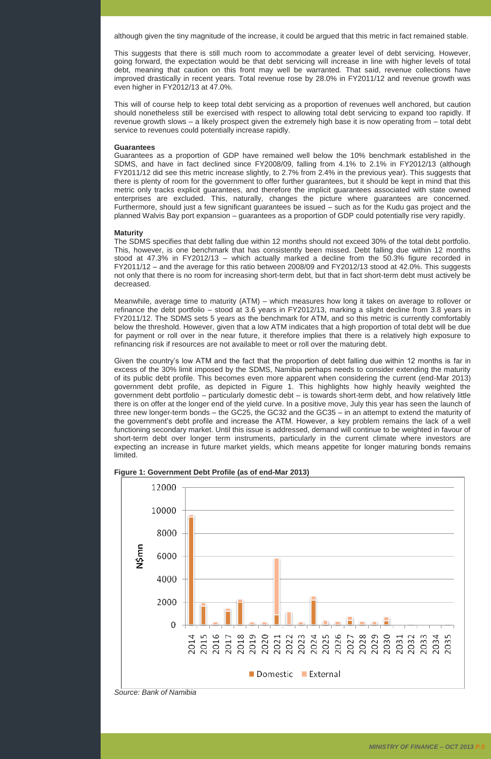although given the tiny magnitude of the increase, it could be argued that this metric in fact remained stable.

This suggests that there is still much room to accommodate a greater level of debt servicing. However, going forward, the expectation would be that debt servicing will increase in line with higher levels of total debt, meaning that caution on this front may well be warranted. That said, revenue collections have improved drastically in recent years. Total revenue rose by 28.0% in FY2011/12 and revenue growth was even higher in FY2012/13 at 47.0%.

This will of course help to keep total debt servicing as a proportion of revenues well anchored, but caution should nonetheless still be exercised with respect to allowing total debt servicing to expand too rapidly. If revenue growth slows – a likely prospect given the extremely high base it is now operating from – total debt service to revenues could potentially increase rapidly.

### **Guarantees**

Guarantees as a proportion of GDP have remained well below the 10% benchmark established in the SDMS, and have in fact declined since FY2008/09, falling from 4.1% to 2.1% in FY2012/13 (although FY2011/12 did see this metric increase slightly, to 2.7% from 2.4% in the previous year). This suggests that there is plenty of room for the government to offer further guarantees, but it should be kept in mind that this metric only tracks explicit guarantees, and therefore the implicit guarantees associated with state owned enterprises are excluded. This, naturally, changes the picture where guarantees are concerned. Furthermore, should just a few significant guarantees be issued – such as for the Kudu gas project and the planned Walvis Bay port expansion – guarantees as a proportion of GDP could potentially rise very rapidly.

### **Maturity**

The SDMS specifies that debt falling due within 12 months should not exceed 30% of the total debt portfolio. This, however, is one benchmark that has consistently been missed. Debt falling due within 12 months stood at 47.3% in FY2012/13 – which actually marked a decline from the 50.3% figure recorded in FY2011/12 – and the average for this ratio between 2008/09 and FY2012/13 stood at 42.0%. This suggests not only that there is no room for increasing short-term debt, but that in fact short-term debt must actively be decreased.

Meanwhile, average time to maturity (ATM) – which measures how long it takes on average to rollover or refinance the debt portfolio – stood at 3.6 years in FY2012/13, marking a slight decline from 3.8 years in FY2011/12. The SDMS sets 5 years as the benchmark for ATM, and so this metric is currently comfortably below the threshold. However, given that a low ATM indicates that a high proportion of total debt will be due for payment or roll over in the near future, it therefore implies that there is a relatively high exposure to refinancing risk if resources are not available to meet or roll over the maturing debt.

Given the country's low ATM and the fact that the proportion of debt falling due within 12 months is far in excess of the 30% limit imposed by the SDMS, Namibia perhaps needs to consider extending the maturity of its public debt profile. This becomes even more apparent when considering the current (end-Mar 2013) government debt profile, as depicted in Figure 1. This highlights how highly heavily weighted the government debt portfolio – particularly domestic debt – is towards short-term debt, and how relatively little there is on offer at the longer end of the yield curve. In a positive move, July this year has seen the launch of three new longer-term bonds – the GC25, the GC32 and the GC35 – in an attempt to extend the maturity of the government's debt profile and increase the ATM. However, a key problem remains the lack of a well functioning secondary market. Until this issue is addressed, demand will continue to be weighted in favour of short-term debt over longer term instruments, particularly in the current climate where investors are expecting an increase in future market yields, which means appetite for longer maturing bonds remains limited.





*Source: Bank of Namibia*

*MINISTRY OF FINANCE – OCT 2013 P.5*